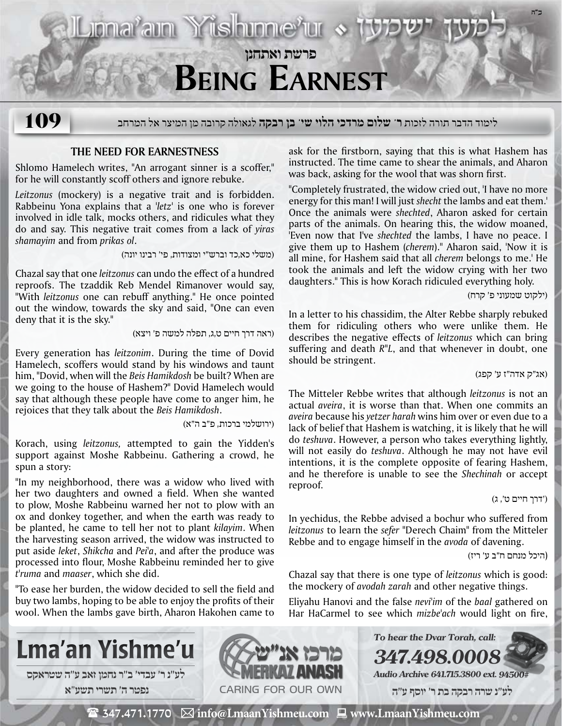

לימוד הדבר תורה לזכות **ר' שלום מרדכי הלוי שי' בן רבקה** לגאולה קרובה מן המיצר אל המרחב **109**

## **The Need for Earnestness**

Shlomo Hamelech writes, "An arrogant sinner is a scoffer," for he will constantly scoff others and ignore rebuke.

*Leitzonus* (mockery) is a negative trait and is forbidden. Rabbeinu Yona explains that a '*letz'* is one who is forever involved in idle talk, mocks others, and ridicules what they do and say. This negative trait comes from a lack of *yiras shamayim* and from *prikas ol*.

(משלי כא,כד וברש"י ומצודות, פי' רבינו יונה)

Chazal say that one *leitzonus* can undo the effect of a hundred reproofs. The tzaddik Reb Mendel Rimanover would say, "With *leitzonus* one can rebuff anything." He once pointed out the window, towards the sky and said, "One can even deny that it is the sky."

(ראה דרך חיים ט,ג, תפלה למשה פ' ויצא)

Every generation has *leitzonim*. During the time of Dovid Hamelech, scoffers would stand by his windows and taunt him, "Dovid, when will the *Beis Hamikdosh* be built? When are we going to the house of Hashem?" Dovid Hamelech would say that although these people have come to anger him, he rejoices that they talk about the *Beis Hamikdosh*.

(ירושלמי ברכות, פ"ב ה"א)

Korach, using *leitzonus,* attempted to gain the Yidden's support against Moshe Rabbeinu. Gathering a crowd, he spun a story:

"In my neighborhood, there was a widow who lived with her two daughters and owned a field. When she wanted to plow, Moshe Rabbeinu warned her not to plow with an ox and donkey together, and when the earth was ready to be planted, he came to tell her not to plant *kilayim*. When the harvesting season arrived, the widow was instructed to put aside *leket*, *Shikcha* and *Pei'a*, and after the produce was processed into flour, Moshe Rabbeinu reminded her to give *t'ruma* and *maaser*, which she did.

"To ease her burden, the widow decided to sell the field and buy two lambs, hoping to be able to enjoy the profits of their wool. When the lambs gave birth, Aharon Hakohen came to ask for the firstborn, saying that this is what Hashem has instructed. The time came to shear the animals, and Aharon was back, asking for the wool that was shorn first.

"Completely frustrated, the widow cried out, 'I have no more energy for this man! I will just *shecht* the lambs and eat them.' Once the animals were *shechted*, Aharon asked for certain parts of the animals. On hearing this, the widow moaned, 'Even now that I've *shechted* the lambs, I have no peace. I give them up to Hashem (*cherem*)." Aharon said, 'Now it is all mine, for Hashem said that all *cherem* belongs to me.' He took the animals and left the widow crying with her two daughters." This is how Korach ridiculed everything holy.

(ילקוט שמעוני פ' קרח)

In a letter to his chassidim, the Alter Rebbe sharply rebuked them for ridiculing others who were unlike them. He describes the negative effects of *leitzonus* which can bring suffering and death *R"L*, and that whenever in doubt, one should be stringent.

(אג"ק אדה"ז ע' קפג)

The Mitteler Rebbe writes that although *leitzonus* is not an actual *aveira*, it is worse than that. When one commits an *aveira* because his *yetzer harah* wins him over or even due to a lack of belief that Hashem is watching, it is likely that he will do *teshuva*. However, a person who takes everything lightly, will not easily do *teshuva*. Although he may not have evil intentions, it is the complete opposite of fearing Hashem, and he therefore is unable to see the *Shechinah* or accept reproof.

('דרך חיים ט', ג)

In yechidus, the Rebbe advised a bochur who suffered from *leitzonus* to learn the *sefer* "Derech Chaim" from the Mitteler Rebbe and to engage himself in the *avoda* of davening.

(היכל מנחם ח"ב ע' ריז)

Chazal say that there is one type of *leitzonus* which is good: the mockery of *avodah zarah* and other negative things.

Eliyahu Hanovi and the false *nevi'im* of the *baal* gathered on Har HaCarmel to see which *mizbe'ach* would light on fire,

**347.498.0008**

**To hear the Dvar Torah, call:**



**נפטר ה׳ תשרי תשע**"**א**



**Audio Archive 641.715.3800 ext. 94500#**

 **לע"נ שרה רבקה בת ר׳ יוסף ע"ה**